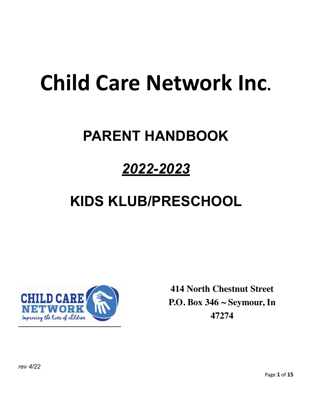# **Child Care Network Inc.**

# **PARENT HANDBOOK**

# *2022-2023*

# **KIDS KLUB/PRESCHOOL**



**414 North Chestnut Street P.O. Box 346 ~ Seymour, In 47274**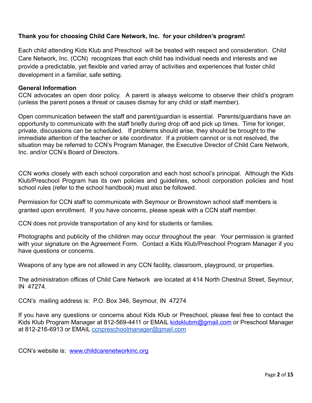# **Thank you for choosing Child Care Network, Inc. for your children's program!**

Each child attending Kids Klub and Preschool will be treated with respect and consideration. Child Care Network, Inc. (CCN) recognizes that each child has individual needs and interests and we provide a predictable, yet flexible and varied array of activities and experiences that foster child development in a familiar, safe setting.

# **General Information**

CCN advocates an open door policy. A parent is always welcome to observe their child's program (unless the parent poses a threat or causes dismay for any child or staff member).

Open communication between the staff and parent/guardian is essential. Parents/guardians have an opportunity to communicate with the staff briefly during drop off and pick up times. Time for longer, private, discussions can be scheduled. If problems should arise, they should be brought to the immediate attention of the teacher or site coordinator. If a problem cannot or is not resolved, the situation may be referred to CCN's Program Manager, the Executive Director of Child Care Network, Inc. and/or CCN's Board of Directors.

CCN works closely with each school corporation and each host school's principal. Although the Kids Klub/Preschool Program has its own policies and guidelines, school corporation policies and host school rules (refer to the school handbook) must also be followed.

Permission for CCN staff to communicate with Seymour or Brownstown school staff members is granted upon enrollment. If you have concerns, please speak with a CCN staff member.

CCN does not provide transportation of any kind for students or families.

Photographs and publicity of the children may occur throughout the year. Your permission is granted with your signature on the Agreement Form. Contact a Kids Klub/Preschool Program Manager if you have questions or concerns.

Weapons of any type are not allowed in any CCN facility, classroom, playground, or properties.

The administration offices of Child Care Network are located at 414 North Chestnut Street, Seymour, IN 47274.

CCN's mailing address is: P.O. Box 346, Seymour, IN 47274

If you have any questions or concerns about Kids Klub or Preschool, please feel free to contact the Kids Klub Program Manager at 812-569-4411 or EMAIL [kidsklubm@gmail.com](mailto:kidsklubm@gmail.com) or Preschool Manager at 812-216-6913 or EMAIL conpreschoolmanager@gmail.com

CCN's website is: [www.childcarenetworkinc.org](http://www.childcarenetworkinc.org)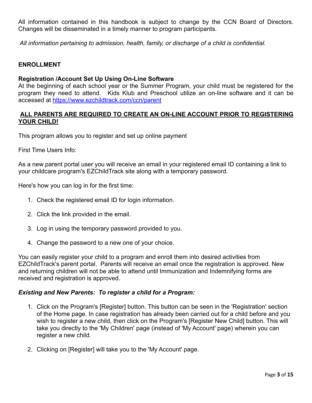All information contained in this handbook is subject to change by the CCN Board of Directors. Changes will be disseminated in a timely manner to program participants.

 *All information pertaining to admission, health, family, or discharge of a child is confidential.*

# **ENROLLMENT**

#### **Registration /Account Set Up Using On-Line Software**

At the beginning of each school year or the Summer Program, your child must be registered for the program they need to attend. Kids Klub and Preschool utilize an on-line software and it can be accessed at<https://www.ezchildtrack.com/ccn/parent>

# **ALL PARENTS ARE REQUIRED TO CREATE AN ON-LINE ACCOUNT PRIOR TO REGISTERING YOUR CHILD!**

This program allows you to register and set up online payment

First Time Users Info:

As a new parent portal user you will receive an email in your registered email ID containing a link to your childcare program's EZChildTrack site along with a temporary password.

Here's how you can log in for the first time:

- 1. Check the registered email ID for login information.
- 2. Click the link provided in the email.
- 3. Log in using the temporary password provided to you.
- 4. Change the password to a new one of your choice.

You can easily register your child to a program and enroll them into desired activities from EZChildTrack's parent portal. Parents will receive an email once the registration is approved. New and returning children will not be able to attend until Immunization and Indemnifying forms are received and registration is approved.

#### *Existing and New Parents: To register a child for a Program:*

- 1. Click on the Program's [Register] button. This button can be seen in the 'Registration' section of the Home page. In case registration has already been carried out for a child before and you wish to register a new child, then click on the Program's [Register New Child] button. This will take you directly to the 'My Children' page (instead of 'My Account' page) wherein you can register a new child.
- 2. Clicking on [Register] will take you to the 'My Account' page.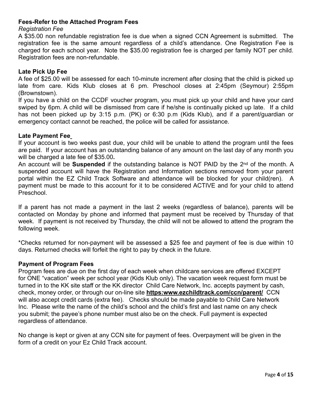# **Fees-Refer to the Attached Program Fees**

#### *Registration Fee*

A \$35.00 non refundable registration fee is due when a signed CCN Agreement is submitted. The registration fee is the same amount regardless of a child's attendance. One Registration Fee is charged for each school year. Note the \$35.00 registration fee is charged per family NOT per child. Registration fees are non-refundable.

#### **Late Pick Up Fee**

A fee of \$25.00 will be assessed for each 10-minute increment after closing that the child is picked up late from care. Kids Klub closes at 6 pm. Preschool closes at 2:45pm (Seymour) 2:55pm (Brownstown).

If you have a child on the CCDF voucher program, you must pick up your child and have your card swiped by 6pm. A child will be dismissed from care if he/she is continually picked up late. If a child has not been picked up by 3:15 p.m. (PK) or 6:30 p.m (Kids Klub), and if a parent/guardian or emergency contact cannot be reached, the police will be called for assistance.

#### **Late Payment Fee**

If your account is two weeks past due, your child will be unable to attend the program until the fees are paid. If your account has an outstanding balance of any amount on the last day of any month you will be charged a late fee of \$35.00**.**

An account will be **Suspended** if the outstanding balance is NOT PAID by the 2nd of the month. A suspended account will have the Registration and Information sections removed from your parent portal within the EZ Child Track Software and attendance will be blocked for your child(ren). A payment must be made to this account for it to be considered ACTIVE and for your child to attend Preschool.

If a parent has not made a payment in the last 2 weeks (regardless of balance), parents will be contacted on Monday by phone and informed that payment must be received by Thursday of that week. If payment is not received by Thursday, the child will not be allowed to attend the program the following week.

\*Checks returned for non-payment will be assessed a \$25 fee and payment of fee is due within 10 days. Returned checks will forfeit the right to pay by check in the future.

# **Payment of Program Fees**

Program fees are due on the first day of each week when childcare services are offered EXCEPT for ONE "vacation" week per school year (Kids Klub only). The vacation week request form must be turned in to the KK site staff or the KK director Child Care Network, Inc. accepts payment by cash, check, money order, or through our on-line site **https:www.ezchildtrack.com/ccn/parent/** CCN will also accept credit cards (extra fee). Checks should be made payable to Child Care Network Inc. Please write the name of the child's school and the child's first and last name on any check you submit; the payee's phone number must also be on the check. Full payment is expected regardless of attendance.

No change is kept or given at any CCN site for payment of fees. Overpayment will be given in the form of a credit on your Ez Child Track account.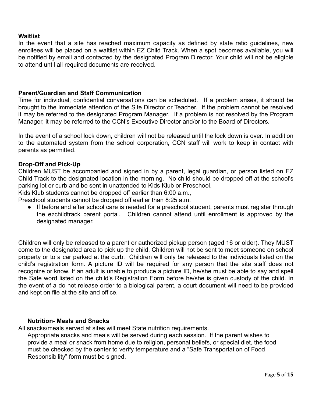# **Waitlist**

In the event that a site has reached maximum capacity as defined by state ratio guidelines, new enrollees will be placed on a waitlist within EZ Child Track. When a spot becomes available, you will be notified by email and contacted by the designated Program Director. Your child will not be eligible to attend until all required documents are received.

# **Parent/Guardian and Staff Communication**

Time for individual, confidential conversations can be scheduled. If a problem arises, it should be brought to the immediate attention of the Site Director or Teacher. If the problem cannot be resolved it may be referred to the designated Program Manager. If a problem is not resolved by the Program Manager, it may be referred to the CCN's Executive Director and/or to the Board of Directors.

In the event of a school lock down, children will not be released until the lock down is over. In addition to the automated system from the school corporation, CCN staff will work to keep in contact with parents as permitted.

#### **Drop-Off and Pick-Up**

Children MUST be accompanied and signed in by a parent, legal guardian, or person listed on EZ Child Track to the designated location in the morning. No child should be dropped off at the school's parking lot or curb and be sent in unattended to Kids Klub or Preschool.

Kids Klub students cannot be dropped off earlier than 6:00 a.m.,

Preschool students cannot be dropped off earlier than 8:25 a.m.

● If before and after school care is needed for a preschool student, parents must register through the ezchildtrack parent portal. Children cannot attend until enrollment is approved by the designated manager.

Children will only be released to a parent or authorized pickup person (aged 16 or older). They MUST come to the designated area to pick up the child. Children will not be sent to meet someone on school property or to a car parked at the curb. Children will only be released to the individuals listed on the child's registration form. A picture ID will be required for any person that the site staff does not recognize or know. If an adult is unable to produce a picture ID, he/she must be able to say and spell the Safe word listed on the child's Registration Form before he/she is given custody of the child. In the event of a do not release order to a biological parent, a court document will need to be provided and kept on file at the site and office.

#### **Nutrition- Meals and Snacks**

All snacks/meals served at sites will meet State nutrition requirements.

Appropriate snacks and meals will be served during each session. If the parent wishes to provide a meal or snack from home due to religion, personal beliefs, or special diet, the food must be checked by the center to verify temperature and a "Safe Transportation of Food Responsibility" form must be signed.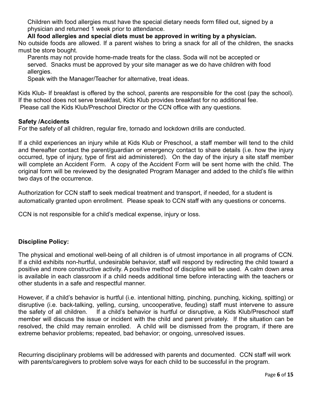Children with food allergies must have the special dietary needs form filled out, signed by a physician and returned 1 week prior to attendance.

**All food allergies and special diets must be approved in writing by a physician.** 

No outside foods are allowed. If a parent wishes to bring a snack for all of the children, the snacks must be store bought.

Parents may not provide home-made treats for the class. Soda will not be accepted or served. Snacks must be approved by your site manager as we do have children with food allergies.

Speak with the Manager/Teacher for alternative, treat ideas.

Kids Klub- If breakfast is offered by the school, parents are responsible for the cost (pay the school). If the school does not serve breakfast, Kids Klub provides breakfast for no additional fee. Please call the Kids Klub/Preschool Director or the CCN office with any questions.

# **Safety /Accidents**

For the safety of all children, regular fire, tornado and lockdown drills are conducted.

If a child experiences an injury while at Kids Klub or Preschool, a staff member will tend to the child and thereafter contact the parent/guardian or emergency contact to share details (i.e. how the injury occurred, type of injury, type of first aid administered). On the day of the injury a site staff member will complete an Accident Form. A copy of the Accident Form will be sent home with the child. The original form will be reviewed by the designated Program Manager and added to the child's file within two days of the occurrence.

Authorization for CCN staff to seek medical treatment and transport, if needed, for a student is automatically granted upon enrollment. Please speak to CCN staff with any questions or concerns.

CCN is not responsible for a child's medical expense, injury or loss.

# **Discipline Policy:**

The physical and emotional well-being of all children is of utmost importance in all programs of CCN. If a child exhibits non-hurtful, undesirable behavior, staff will respond by redirecting the child toward a positive and more constructive activity. A positive method of discipline will be used. A calm down area is available in each classroom if a child needs additional time before interacting with the teachers or other students in a safe and respectful manner.

However, if a child's behavior is hurtful (i.e. intentional hitting, pinching, punching, kicking, spitting) or disruptive (i.e. back-talking, yelling, cursing, uncooperative, feuding) staff must intervene to assure the safety of all children. If a child's behavior is hurtful or disruptive, a Kids Klub/Preschool staff member will discuss the issue or incident with the child and parent privately. If the situation can be resolved, the child may remain enrolled. A child will be dismissed from the program, if there are extreme behavior problems; repeated, bad behavior; or ongoing, unresolved issues.

Recurring disciplinary problems will be addressed with parents and documented. CCN staff will work with parents/caregivers to problem solve ways for each child to be successful in the program.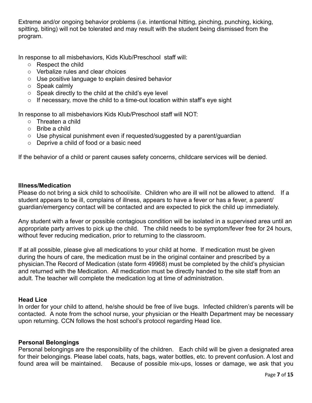Extreme and/or ongoing behavior problems (i.e. intentional hitting, pinching, punching, kicking, spitting, biting) will not be tolerated and may result with the student being dismissed from the program.

In response to all misbehaviors, Kids Klub/Preschool staff will:

- o Respect the child
- o Verbalize rules and clear choices
- o Use positive language to explain desired behavior
- o Speak calmly
- o Speak directly to the child at the child's eye level
- $\circ$  If necessary, move the child to a time-out location within staff's eye sight

In response to all misbehaviors Kids Klub/Preschool staff will NOT:

- o Threaten a child
- o Bribe a child
- $\circ$  Use physical punishment even if requested/suggested by a parent/quardian
- o Deprive a child of food or a basic need

If the behavior of a child or parent causes safety concerns, childcare services will be denied.

#### **Illness/Medication**

Please do not bring a sick child to school/site. Children who are ill will not be allowed to attend. If a student appears to be ill, complains of illness, appears to have a fever or has a fever, a parent/ guardian/emergency contact will be contacted and are expected to pick the child up immediately.

Any student with a fever or possible contagious condition will be isolated in a supervised area until an appropriate party arrives to pick up the child. The child needs to be symptom/fever free for 24 hours, without fever reducing medication, prior to returning to the classroom.

If at all possible, please give all medications to your child at home. If medication must be given during the hours of care, the medication must be in the original container and prescribed by a physician.The Record of Medication (state form 49968) must be completed by the child's physician and returned with the Medication. All medication must be directly handed to the site staff from an adult. The teacher will complete the medication log at time of administration.

# **Head Lice**

In order for your child to attend, he/she should be free of live bugs. Infected children's parents will be contacted. A note from the school nurse, your physician or the Health Department may be necessary upon returning. CCN follows the host school's protocol regarding Head lice.

# **Personal Belongings**

Personal belongings are the responsibility of the children. Each child will be given a designated area for their belongings. Please label coats, hats, bags, water bottles, etc. to prevent confusion. A lost and found area will be maintained. Because of possible mix-ups, losses or damage, we ask that you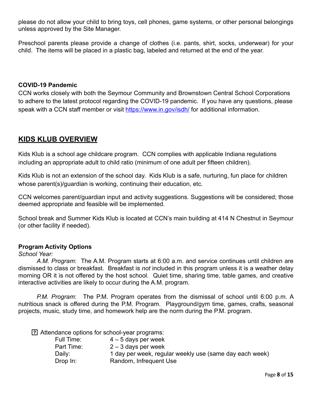please do not allow your child to bring toys, cell phones, game systems, or other personal belongings unless approved by the Site Manager.

Preschool parents please provide a change of clothes (i.e. pants, shirt, socks, underwear) for your child. The items will be placed in a plastic bag, labeled and returned at the end of the year.

#### **COVID-19 Pandemic**

CCN works closely with both the Seymour Community and Brownstown Central School Corporations to adhere to the latest protocol regarding the COVID-19 pandemic. If you have any questions, please speak with a CCN staff member or visit<https://www.in.gov/isdh/>for additional information.

# **KIDS KLUB OVERVIEW**

Kids Klub is a school age childcare program. CCN complies with applicable Indiana regulations including an appropriate adult to child ratio (minimum of one adult per fifteen children).

Kids Klub is not an extension of the school day. Kids Klub is a safe, nurturing, fun place for children whose parent(s)/guardian is working, continuing their education, etc.

CCN welcomes parent/guardian input and activity suggestions. Suggestions will be considered; those deemed appropriate and feasible will be implemented.

School break and Summer Kids Klub is located at CCN's main building at 414 N Chestnut in Seymour (or other facility if needed).

# **Program Activity Options**

#### *School Year:*

*A.M. Program*: The A.M. Program starts at 6:00 a.m. and service continues until children are dismissed to class or breakfast. Breakfast is *not* included in this program unless it is a weather delay morning OR it is not offered by the host school. Quiet time, sharing time, table games, and creative interactive activities are likely to occur during the A.M. program.

*P.M. Program*: The P.M. Program operates from the dismissal of school until 6:00 p.m. A nutritious snack is offered during the P.M. Program. Playground/gym time, games, crafts, seasonal projects, music, study time, and homework help are the norm during the P.M. program.

Attendance options for school-year programs:

| Full Time: | $4-5$ days per week                                     |
|------------|---------------------------------------------------------|
| Part Time: | $2 - 3$ days per week                                   |
| Daily:     | 1 day per week, regular weekly use (same day each week) |
| Drop In:   | Random, Infrequent Use                                  |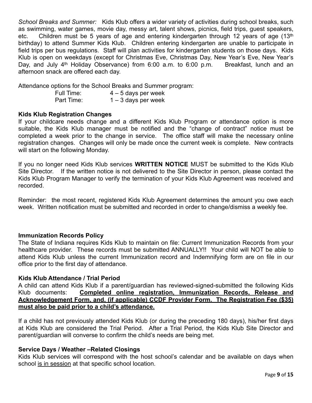*School Breaks and Summer:* Kids Klub offers a wider variety of activities during school breaks, such as swimming, water games, movie day, messy art, talent shows, picnics, field trips, guest speakers, etc. Children must be 5 years of age and entering kindergarten through 12 years of age (13th birthday) to attend Summer Kids Klub. Children entering kindergarten are unable to participate in field trips per bus regulations. Staff will plan activities for kindergarten students on those days. Kids Klub is open on weekdays (except for Christmas Eve, Christmas Day, New Year's Eve, New Year's Day, and July 4<sup>th</sup> Holiday Observance) from 6:00 a.m. to 6:00 p.m. Breakfast, lunch and an afternoon snack are offered each day.

Attendance options for the School Breaks and Summer program:

| Full Time: | $4 - 5$ days per week |
|------------|-----------------------|
|------------|-----------------------|

Part Time: 1 – 3 days per week

# **Kids Klub Registration Changes**

If your childcare needs change and a different Kids Klub Program or attendance option is more suitable, the Kids Klub manager must be notified and the "change of contract" notice must be completed a week prior to the change in service. The office staff will make the necessary online registration changes. Changes will only be made once the current week is complete. New contracts will start on the following Monday.

If you no longer need Kids Klub services **WRITTEN NOTICE** MUST be submitted to the Kids Klub Site Director. If the written notice is not delivered to the Site Director in person, please contact the Kids Klub Program Manager to verify the termination of your Kids Klub Agreement was received and recorded.

Reminder: the most recent, registered Kids Klub Agreement determines the amount you owe each week. Written notification must be submitted and recorded in order to change/dismiss a weekly fee.

# **Immunization Records Policy**

The State of Indiana requires Kids Klub to maintain on file: Current Immunization Records from your healthcare provider. These records must be submitted ANNUALLY!! Your child will NOT be able to attend Kids Klub unless the current Immunization record and Indemnifying form are on file in our office prior to the first day of attendance.

# **Kids Klub Attendance / Trial Period**

A child can attend Kids Klub if a parent/guardian has reviewed-signed-submitted the following Kids Klub documents: **Completed online registration, Immunization Records, Release and Acknowledgement Form, and, (if applicable) CCDF Provider Form. The Registration Fee (\$35) must also be paid prior to a child's attendance.**

If a child has not previously attended Kids Klub (or during the preceding 180 days), his/her first days at Kids Klub are considered the Trial Period. After a Trial Period, the Kids Klub Site Director and parent/guardian will converse to confirm the child's needs are being met.

# **Service Days / Weather –Related Closings**

Kids Klub services will correspond with the host school's calendar and be available on days when school is in session at that specific school location.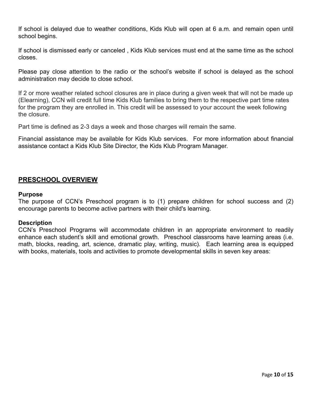If school is delayed due to weather conditions, Kids Klub will open at 6 a.m. and remain open until school begins.

If school is dismissed early or canceled , Kids Klub services must end at the same time as the school closes.

Please pay close attention to the radio or the school's website if school is delayed as the school administration may decide to close school.

If 2 or more weather related school closures are in place during a given week that will not be made up (Elearning), CCN will credit full time Kids Klub families to bring them to the respective part time rates for the program they are enrolled in. This credit will be assessed to your account the week following the closure.

Part time is defined as 2-3 days a week and those charges will remain the same.

Financial assistance may be available for Kids Klub services. For more information about financial assistance contact a Kids Klub Site Director, the Kids Klub Program Manager.

# **PRESCHOOL OVERVIEW**

#### **Purpose**

The purpose of CCN's Preschool program is to (1) prepare children for school success and (2) encourage parents to become active partners with their child's learning.

#### **Description**

CCN's Preschool Programs will accommodate children in an appropriate environment to readily enhance each student's skill and emotional growth. Preschool classrooms have learning areas (i.e. math, blocks, reading, art, science, dramatic play, writing, music). Each learning area is equipped with books, materials, tools and activities to promote developmental skills in seven key areas: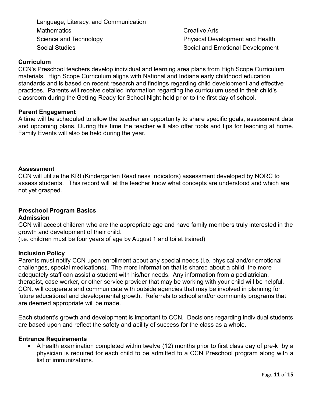Language, Literacy, and Communication **Mathematics** Science and Technology Social Studies

Creative Arts Physical Development and Health Social and Emotional Development

# **Curriculum**

CCN's Preschool teachers develop individual and learning area plans from High Scope Curriculum materials. High Scope Curriculum aligns with National and Indiana early childhood education standards and is based on recent research and findings regarding child development and effective practices. Parents will receive detailed information regarding the curriculum used in their child's classroom during the Getting Ready for School Night held prior to the first day of school.

#### **Parent Engagement**

A time will be scheduled to allow the teacher an opportunity to share specific goals, assessment data and upcoming plans. During this time the teacher will also offer tools and tips for teaching at home. Family Events will also be held during the year.

#### **Assessment**

CCN will utilize the KRI (Kindergarten Readiness Indicators) assessment developed by NORC to assess students. This record will let the teacher know what concepts are understood and which are not yet grasped.

# **Preschool Program Basics**

#### **Admission**

CCN will accept children who are the appropriate age and have family members truly interested in the growth and development of their child.

(i.e. children must be four years of age by August 1 and toilet trained)

#### **Inclusion Policy**

Parents must notify CCN upon enrollment about any special needs (i.e. physical and/or emotional challenges, special medications). The more information that is shared about a child, the more adequately staff can assist a student with his/her needs. Any information from a pediatrician, therapist, case worker, or other service provider that may be working with your child will be helpful. CCN. will cooperate and communicate with outside agencies that may be involved in planning for future educational and developmental growth. Referrals to school and/or community programs that are deemed appropriate will be made.

Each student's growth and development is important to CCN. Decisions regarding individual students are based upon and reflect the safety and ability of success for the class as a whole.

#### **Entrance Requirements**

• A health examination completed within twelve (12) months prior to first class day of pre-k by a physician is required for each child to be admitted to a CCN Preschool program along with a list of immunizations.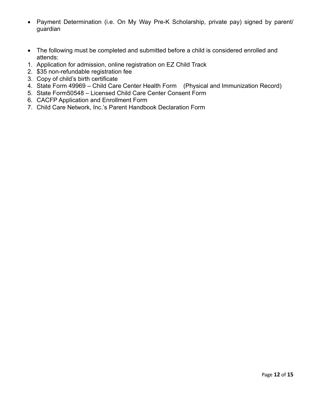- Payment Determination (i.e. On My Way Pre-K Scholarship, private pay) signed by parent/ guardian
- The following must be completed and submitted before a child is considered enrolled and attends:
- 1. Application for admission, online registration on EZ Child Track
- 2. \$35 non-refundable registration fee
- 3. Copy of child's birth certificate
- 4. State Form 49969 Child Care Center Health Form (Physical and Immunization Record)
- 5. State Form50548 Licensed Child Care Center Consent Form
- 6. CACFP Application and Enrollment Form
- 7. Child Care Network, Inc.'s Parent Handbook Declaration Form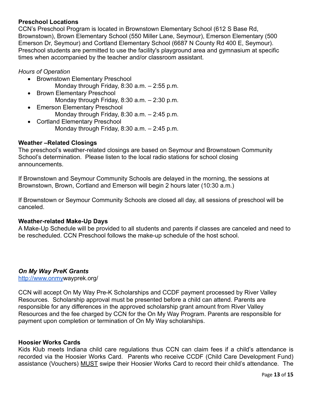# **Preschool Locations**

CCN's Preschool Program is located in Brownstown Elementary School (612 S Base Rd, Brownstown), Brown Elementary School (550 Miller Lane, Seymour), Emerson Elementary (500 Emerson Dr, Seymour) and Cortland Elementary School (6687 N County Rd 400 E, Seymour). Preschool students are permitted to use the facility's playground area and gymnasium at specific times when accompanied by the teacher and/or classroom assistant.

# *Hours of Operation*

- Brownstown Elementary Preschool Monday through Friday, 8:30 a.m. – 2:55 p.m.
- Brown Elementary Preschool Monday through Friday, 8:30 a.m. – 2:30 p.m.
- Emerson Elementary Preschool Monday through Friday, 8:30 a.m. – 2:45 p.m.
- Cortland Elementary Preschool Monday through Friday, 8:30 a.m. – 2:45 p.m.

# **Weather –Related Closings**

The preschool's weather-related closings are based on Seymour and Brownstown Community School's determination. Please listen to the local radio stations for school closing announcements.

If Brownstown and Seymour Community Schools are delayed in the morning, the sessions at Brownstown, Brown, Cortland and Emerson will begin 2 hours later (10:30 a.m.)

If Brownstown or Seymour Community Schools are closed all day, all sessions of preschool will be canceled.

# **Weather-related Make-Up Days**

A Make-Up Schedule will be provided to all students and parents if classes are canceled and need to be rescheduled. CCN Preschool follows the make-up schedule of the host school.

# *On My Way PreK Grants*

<http://www.onmy>wayprek.org/

CCN will accept On My Way Pre-K Scholarships and CCDF payment processed by River Valley Resources. Scholarship approval must be presented before a child can attend. Parents are responsible for any differences in the approved scholarship grant amount from River Valley Resources and the fee charged by CCN for the On My Way Program. Parents are responsible for payment upon completion or termination of On My Way scholarships.

# **Hoosier Works Cards**

Kids Klub meets Indiana child care regulations thus CCN can claim fees if a child's attendance is recorded via the Hoosier Works Card. Parents who receive CCDF (Child Care Development Fund) assistance (Vouchers) MUST swipe their Hoosier Works Card to record their child's attendance. The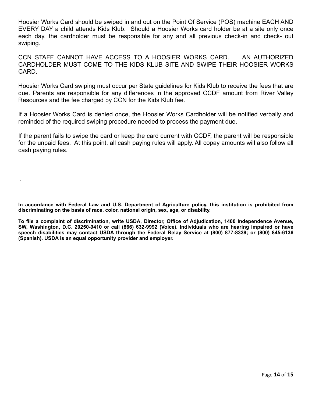Hoosier Works Card should be swiped in and out on the Point Of Service (POS) machine EACH AND EVERY DAY a child attends Kids Klub. Should a Hoosier Works card holder be at a site only once each day, the cardholder must be responsible for any and all previous check-in and check- out swiping.

CCN STAFF CANNOT HAVE ACCESS TO A HOOSIER WORKS CARD. AN AUTHORIZED CARDHOLDER MUST COME TO THE KIDS KLUB SITE AND SWIPE THEIR HOOSIER WORKS CARD.

Hoosier Works Card swiping must occur per State guidelines for Kids Klub to receive the fees that are due. Parents are responsible for any differences in the approved CCDF amount from River Valley Resources and the fee charged by CCN for the Kids Klub fee.

If a Hoosier Works Card is denied once, the Hoosier Works Cardholder will be notified verbally and reminded of the required swiping procedure needed to process the payment due.

If the parent fails to swipe the card or keep the card current with CCDF, the parent will be responsible for the unpaid fees. At this point, all cash paying rules will apply. All copay amounts will also follow all cash paying rules.

**In accordance with Federal Law and U.S. Department of Agriculture policy, this institution is prohibited from discriminating on the basis of race, color, national origin, sex, age, or disability.** 

.

**To file a complaint of discrimination, write USDA, Director, Office of Adjudication, 1400 Independence Avenue, SW, Washington, D.C. 20250-9410 or call (866) 632-9992 (Voice). Individuals who are hearing impaired or have speech disabilities may contact USDA through the Federal Relay Service at (800) 877-8339; or (800) 845-6136 (Spanish). USDA is an equal opportunity provider and employer.**